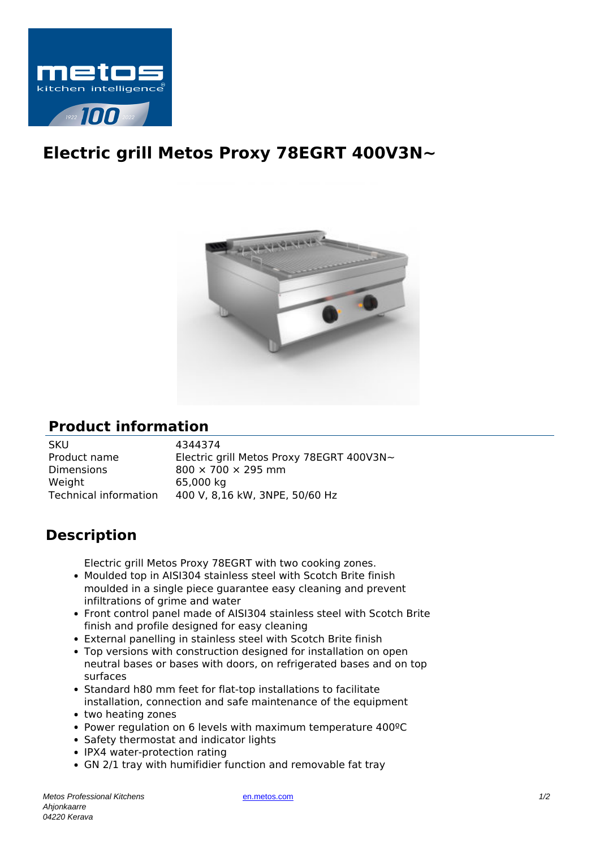

## **Electric grill Metos Proxy 78EGRT 400V3N~**



## **Product information**

SKU 4344374 Product name Electric grill Metos Proxy 78EGRT 400V3N~ Dimensions 800  $\times$  700  $\times$  295 mm Weight 65,000 kg Technical information 400 V, 8,16 kW, 3NPE, 50/60 Hz

## **Description**

Electric grill Metos Proxy 78EGRT with two cooking zones.

- Moulded top in AISI304 stainless steel with Scotch Brite finish moulded in a single piece guarantee easy cleaning and prevent infiltrations of grime and water
- Front control panel made of AISI304 stainless steel with Scotch Brite finish and profile designed for easy cleaning
- External panelling in stainless steel with Scotch Brite finish
- Top versions with construction designed for installation on open neutral bases or bases with doors, on refrigerated bases and on top surfaces
- Standard h80 mm feet for flat-top installations to facilitate installation, connection and safe maintenance of the equipment
- two heating zones
- Power regulation on 6 levels with maximum temperature 400ºC
- Safety thermostat and indicator lights
- IPX4 water-protection rating
- GN 2/1 tray with humifidier function and removable fat tray